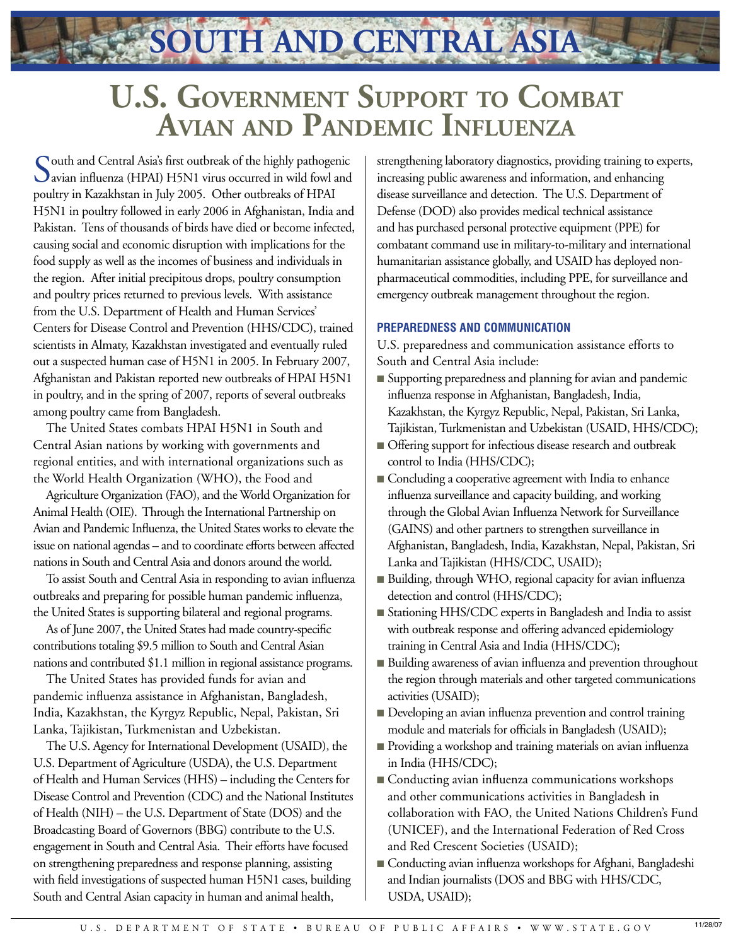**SOUTH AND CENTRAL ASIA**

## **U.S. Government Support to Combat Avian and Pandemic Influenza**

South and Central Asia's first outbreak of the highly pathogenic<br>
avian influenza (HPAI) H5N1 virus occurred in wild fowl and poultry in Kazakhstan in July 2005. Other outbreaks of HPAI H5N1 in poultry followed in early 2006 in Afghanistan, India and Pakistan. Tens of thousands of birds have died or become infected, causing social and economic disruption with implications for the food supply as well as the incomes of business and individuals in the region. After initial precipitous drops, poultry consumption and poultry prices returned to previous levels. With assistance from the U.S. Department of Health and Human Services' Centers for Disease Control and Prevention (HHS/CDC), trained scientists in Almaty, Kazakhstan investigated and eventually ruled out a suspected human case of H5N1 in 2005. In February 2007, Afghanistan and Pakistan reported new outbreaks of HPAI H5N1 in poultry, and in the spring of 2007, reports of several outbreaks among poultry came from Bangladesh.

The United States combats HPAI H5N1 in South and Central Asian nations by working with governments and regional entities, and with international organizations such as the World Health Organization (WHO), the Food and

Agriculture Organization (FAO), and the World Organization for Animal Health (OIE). Through the International Partnership on Avian and Pandemic Influenza, the United States works to elevate the issue on national agendas – and to coordinate efforts between affected nations in South and Central Asia and donors around the world.

To assist South and Central Asia in responding to avian influenza outbreaks and preparing for possible human pandemic influenza, the United States is supporting bilateral and regional programs.

As of June 2007, the United States had made country-specific contributions totaling \$9.5 million to South and Central Asian nations and contributed \$1.1 million in regional assistance programs.

The United States has provided funds for avian and pandemic influenza assistance in Afghanistan, Bangladesh, India, Kazakhstan, the Kyrgyz Republic, Nepal, Pakistan, Sri Lanka, Tajikistan, Turkmenistan and Uzbekistan.

The U.S. Agency for International Development (USAID), the U.S. Department of Agriculture (USDA), the U.S. Department of Health and Human Services (HHS) – including the Centers for Disease Control and Prevention (CDC) and the National Institutes of Health (NIH) – the U.S. Department of State (DOS) and the Broadcasting Board of Governors (BBG) contribute to the U.S. engagement in South and Central Asia. Their efforts have focused on strengthening preparedness and response planning, assisting with field investigations of suspected human H5N1 cases, building South and Central Asian capacity in human and animal health,

strengthening laboratory diagnostics, providing training to experts, increasing public awareness and information, and enhancing disease surveillance and detection. The U.S. Department of Defense (DOD) also provides medical technical assistance and has purchased personal protective equipment (PPE) for combatant command use in military-to-military and international humanitarian assistance globally, and USAID has deployed nonpharmaceutical commodities, including PPE, for surveillance and emergency outbreak management throughout the region.

## **PREPAREDNESS AND COMMUNICATION**

U.S. preparedness and communication assistance efforts to South and Central Asia include:

- Supporting preparedness and planning for avian and pandemic influenza response in Afghanistan, Bangladesh, India, Kazakhstan, the Kyrgyz Republic, Nepal, Pakistan, Sri Lanka, Tajikistan, Turkmenistan and Uzbekistan (USAID, HHS/CDC);
- Offering support for infectious disease research and outbreak control to India (HHS/CDC);
- Concluding a cooperative agreement with India to enhance influenza surveillance and capacity building, and working through the Global Avian Influenza Network for Surveillance (GAINS) and other partners to strengthen surveillance in Afghanistan, Bangladesh, India, Kazakhstan, Nepal, Pakistan, Sri Lanka and Tajikistan (HHS/CDC, USAID);
- Building, through WHO, regional capacity for avian influenza detection and control (HHS/CDC);
- Stationing HHS/CDC experts in Bangladesh and India to assist with outbreak response and offering advanced epidemiology training in Central Asia and India (HHS/CDC);
- Building awareness of avian influenza and prevention throughout the region through materials and other targeted communications activities (USAID);
- Developing an avian influenza prevention and control training module and materials for officials in Bangladesh (USAID);
- Providing a workshop and training materials on avian influenza in India (HHS/CDC);
- Conducting avian influenza communications workshops and other communications activities in Bangladesh in collaboration with FAO, the United Nations Children's Fund (UNICEF), and the International Federation of Red Cross and Red Crescent Societies (USAID);
- Conducting avian influenza workshops for Afghani, Bangladeshi and Indian journalists (DOS and BBG with HHS/CDC, USDA, USAID);